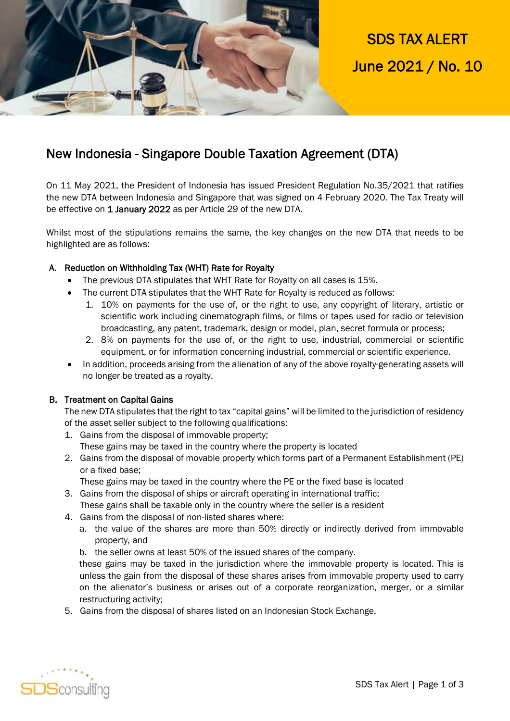

SDS TAX ALERT June 2021 / No. 10

# New Indonesia - Singapore Double Taxation Agreement (DTA)

On 11 May 2021, the President of Indonesia has issued President Regulation No.35/2021 that ratifies the new DTA between Indonesia and Singapore that was signed on 4 February 2020. The Tax Treaty will be effective on 1 January 2022 as per Article 29 of the new DTA.

Whilst most of the stipulations remains the same, the key changes on the new DTA that needs to be highlighted are as follows:

# A. Reduction on Withholding Tax (WHT) Rate for Royalty

- The previous DTA stipulates that WHT Rate for Royalty on all cases is 15%.
- The current DTA stipulates that the WHT Rate for Royalty is reduced as follows:
	- 1. 10% on payments for the use of, or the right to use, any copyright of literary, artistic or scientific work including cinematograph films, or films or tapes used for radio or television broadcasting, any patent, trademark, design or model, plan, secret formula or process;
	- 2. 8% on payments for the use of, or the right to use, industrial, commercial or scientific equipment, or for information concerning industrial, commercial or scientific experience.
- In addition, proceeds arising from the alienation of any of the above royalty-generating assets will no longer be treated as a royalty.

## B. Treatment on Capital Gains

The new DTA stipulates that the right to tax "capital gains" will be limited to the jurisdiction of residency of the asset seller subject to the following qualifications:

- 1. Gains from the disposal of immovable property; These gains may be taxed in the country where the property is located
- 2. Gains from the disposal of movable property which forms part of a Permanent Establishment (PE) or a fixed base;

These gains may be taxed in the country where the PE or the fixed base is located

- 3. Gains from the disposal of ships or aircraft operating in international traffic; These gains shall be taxable only in the country where the seller is a resident
- 4. Gains from the disposal of non-listed shares where:
	- a. the value of the shares are more than 50% directly or indirectly derived from immovable property, and
	- b. the seller owns at least 50% of the issued shares of the company.

these gains may be taxed in the jurisdiction where the immovable property is located. This is unless the gain from the disposal of these shares arises from immovable property used to carry on the alienator's business or arises out of a corporate reorganization, merger, or a similar restructuring activity;

5. Gains from the disposal of shares listed on an Indonesian Stock Exchange.

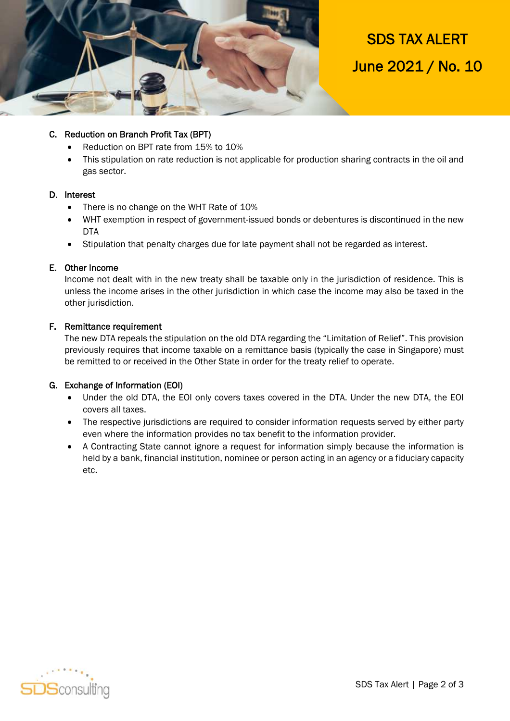

SDS TAX ALERT June 2021 / No. 10

# C. Reduction on Branch Profit Tax (BPT)

- Reduction on BPT rate from 15% to 10%
- This stipulation on rate reduction is not applicable for production sharing contracts in the oil and gas sector.

#### D. Interest

- There is no change on the WHT Rate of 10%
- WHT exemption in respect of government-issued bonds or debentures is discontinued in the new DTA
- Stipulation that penalty charges due for late payment shall not be regarded as interest.

#### E. Other Income

Income not dealt with in the new treaty shall be taxable only in the jurisdiction of residence. This is unless the income arises in the other jurisdiction in which case the income may also be taxed in the other jurisdiction.

#### F. Remittance requirement

The new DTA repeals the stipulation on the old DTA regarding the "Limitation of Relief". This provision previously requires that income taxable on a remittance basis (typically the case in Singapore) must be remitted to or received in the Other State in order for the treaty relief to operate.

## G. Exchange of Information (EOI)

- Under the old DTA, the EOI only covers taxes covered in the DTA. Under the new DTA, the EOI covers all taxes.
- The respective jurisdictions are required to consider information requests served by either party even where the information provides no tax benefit to the information provider.
- A Contracting State cannot ignore a request for information simply because the information is held by a bank, financial institution, nominee or person acting in an agency or a fiduciary capacity etc.